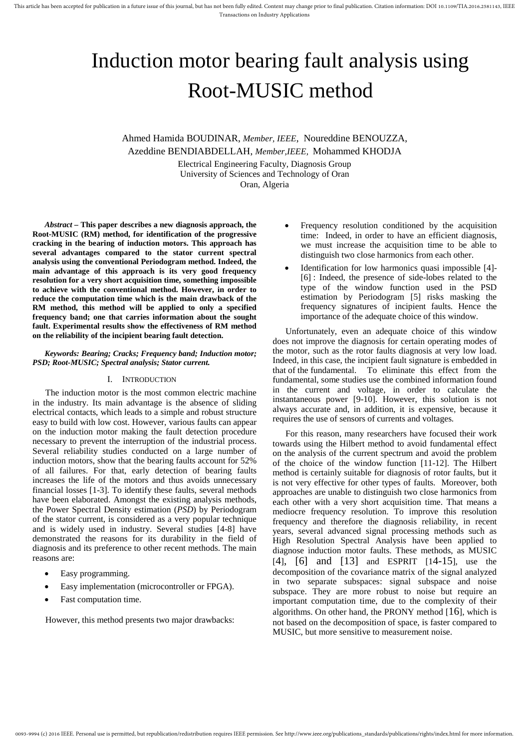# Induction motor bearing fault analysis using Root-MUSIC method

Ahmed Hamida BOUDINAR, *Member, IEEE*, Noureddine BENOUZZA, Azeddine BENDIABDELLAH, *Member,IEEE,* Mohammed KHODJA Electrical Engineering Faculty, Diagnosis Group University of Sciences and Technology of Oran Oran, Algeria

*Abstract –* **This paper describes a new diagnosis approach, the Root-MUSIC (RM) method, for identification of the progressive cracking in the bearing of induction motors. This approach has several advantages compared to the stator current spectral analysis using the conventional Periodogram method. Indeed, the main advantage of this approach is its very good frequency resolution for a very short acquisition time, something impossible to achieve with the conventional method. However, in order to reduce the computation time which is the main drawback of the RM method, this method will be applied to only a specified frequency band; one that carries information about the sought fault. Experimental results show the effectiveness of RM method on the reliability of the incipient bearing fault detection.**

# *Keywords: Bearing; Cracks; Frequency band; Induction motor; PSD; Root-MUSIC; Spectral analysis; Stator current.*

## I. INTRODUCTION

The induction motor is the most common electric machine in the industry. Its main advantage is the absence of sliding electrical contacts, which leads to a simple and robust structure easy to build with low cost. However, various faults can appear on the induction motor making the fault detection procedure necessary to prevent the interruption of the industrial process. Several reliability studies conducted on a large number of induction motors, show that the bearing faults account for 52% of all failures. For that, early detection of bearing faults increases the life of the motors and thus avoids unnecessary financial losses [1-3]. To identify these faults, several methods have been elaborated. Amongst the existing analysis methods, the Power Spectral Density estimation (*PSD*) by Periodogram of the stator current, is considered as a very popular technique and is widely used in industry. Several studies [4-8] have demonstrated the reasons for its durability in the field of diagnosis and its preference to other recent methods. The main reasons are:

- Easy programming.
- Easy implementation (microcontroller or FPGA).
- Fast computation time.

However, this method presents two major drawbacks:

- Frequency resolution conditioned by the acquisition time: Indeed, in order to have an efficient diagnosis, we must increase the acquisition time to be able to distinguish two close harmonics from each other.
- Identification for low harmonics quasi impossible [4]- [6] : Indeed, the presence of side-lobes related to the type of the window function used in the PSD estimation by Periodogram [5] risks masking the frequency signatures of incipient faults. Hence the importance of the adequate choice of this window.

Unfortunately, even an adequate choice of this window does not improve the diagnosis for certain operating modes of the motor, such as the rotor faults diagnosis at very low load. Indeed, in this case, the incipient fault signature is embedded in that of the fundamental. To eliminate this effect from the fundamental, some studies use the combined information found in the current and voltage, in order to calculate the instantaneous power [9-10]. However, this solution is not always accurate and, in addition, it is expensive, because it requires the use of sensors of currents and voltages.

For this reason, many researchers have focused their work towards using the Hilbert method to avoid fundamental effect on the analysis of the current spectrum and avoid the problem of the choice of the window function [11-12]. The Hilbert method is certainly suitable for diagnosis of rotor faults, but it is not very effective for other types of faults. Moreover, both approaches are unable to distinguish two close harmonics from each other with a very short acquisition time. That means a mediocre frequency resolution. To improve this resolution frequency and therefore the diagnosis reliability, in recent years, several advanced signal processing methods such as High Resolution Spectral Analysis have been applied to diagnose induction motor faults. These methods, as MUSIC [4], [6] and [13] and ESPRIT [14-15], use the decomposition of the covariance matrix of the signal analyzed in two separate subspaces: signal subspace and noise subspace. They are more robust to noise but require an important computation time, due to the complexity of their algorithms. On other hand, the PRONY method  $[16]$ , which is not based on the decomposition of space, is faster compared to MUSIC, but more sensitive to measurement noise.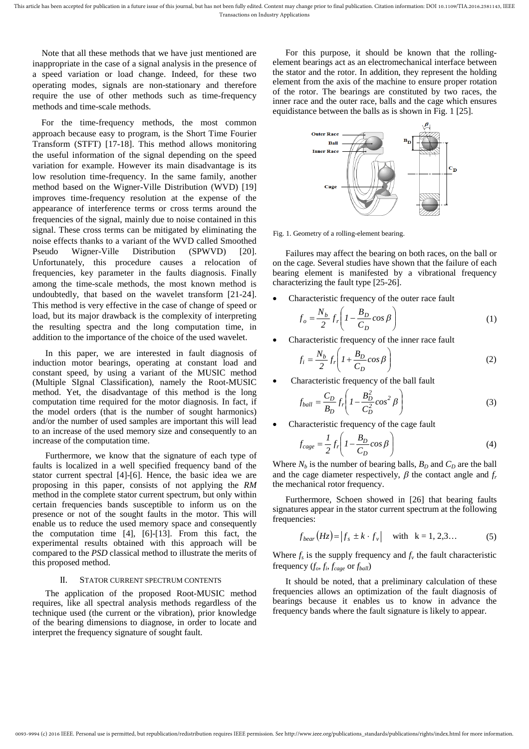Note that all these methods that we have just mentioned are inappropriate in the case of a signal analysis in the presence of a speed variation or load change. Indeed, for these two operating modes, signals are non-stationary and therefore require the use of other methods such as time-frequency methods and time-scale methods.

For the time-frequency methods, the most common approach because easy to program, is the Short Time Fourier Transform (STFT) [17-18]. This method allows monitoring the useful information of the signal depending on the speed variation for example. However its main disadvantage is its low resolution time-frequency. In the same family, another method based on the Wigner-Ville Distribution (WVD) [19] improves time-frequency resolution at the expense of the appearance of interference terms or cross terms around the frequencies of the signal, mainly due to noise contained in this signal. These cross terms can be mitigated by eliminating the noise effects thanks to a variant of the WVD called Smoothed Pseudo Wigner-Ville Distribution (SPWVD) [20]. Unfortunately, this procedure causes a relocation of frequencies, key parameter in the faults diagnosis. Finally among the time-scale methods, the most known method is undoubtedly, that based on the wavelet transform [21-24]. This method is very effective in the case of change of speed or load, but its major drawback is the complexity of interpreting the resulting spectra and the long computation time, in addition to the importance of the choice of the used wavelet.

In this paper, we are interested in fault diagnosis of induction motor bearings, operating at constant load and constant speed, by using a variant of the MUSIC method (Multiple SIgnal Classification), namely the Root-MUSIC method. Yet, the disadvantage of this method is the long computation time required for the motor diagnosis. In fact, if the model orders (that is the number of sought harmonics) and/or the number of used samples are important this will lead to an increase of the used memory size and consequently to an increase of the computation time.

Furthermore, we know that the signature of each type of faults is localized in a well specified frequency band of the stator current spectral [4]-[6]. Hence, the basic idea we are proposing in this paper, consists of not applying the *RM* method in the complete stator current spectrum, but only within certain frequencies bands susceptible to inform us on the presence or not of the sought faults in the motor. This will enable us to reduce the used memory space and consequently the computation time [4], [6]-[13]. From this fact, the experimental results obtained with this approach will be compared to the *PSD* classical method to illustrate the merits of this proposed method.

## II. STATOR CURRENT SPECTRUM CONTENTS

The application of the proposed Root-MUSIC method requires, like all spectral analysis methods regardless of the technique used (the current or the vibration), prior knowledge of the bearing dimensions to diagnose, in order to locate and interpret the frequency signature of sought fault.

For this purpose, it should be known that the rollingelement bearings act as an electromechanical interface between the stator and the rotor. In addition, they represent the holding element from the axis of the machine to ensure proper rotation of the rotor. The bearings are constituted by two races, the inner race and the outer race, balls and the cage which ensures equidistance between the balls as is shown in Fig. 1 [25].



Fig. 1. Geometry of a rolling-element bearing.

Failures may affect the bearing on both races, on the ball or on the cage. Several studies have shown that the failure of each bearing element is manifested by a vibrational frequency characterizing the fault type [25-26].

Characteristic frequency of the outer race fault

$$
f_o = \frac{N_b}{2} f_r \left( I - \frac{B_D}{C_D} \cos \beta \right) \tag{1}
$$

Characteristic frequency of the inner race fault

$$
\vec{r}_i = \frac{N_b}{2} f_r \left( I + \frac{B_D}{C_D} \cos \beta \right) \tag{2}
$$

Characteristic frequency of the ball fault

*f*

*f*

$$
f_{ball} = \frac{C_D}{B_D} f_r \left( I - \frac{B_D^2}{C_D^2} \cos^2 \beta \right)
$$
 (3)

Characteristic frequency of the cage fault

$$
C_{cage} = \frac{1}{2} f_r \left( I - \frac{B_D}{C_D} \cos \beta \right)
$$
 (4)

Where  $N_b$  is the number of bearing balls,  $B_D$  and  $C_D$  are the ball and the cage diameter respectively,  $\beta$  the contact angle and  $f_r$ the mechanical rotor frequency.

Furthermore, Schoen showed in [26] that bearing faults signatures appear in the stator current spectrum at the following frequencies:

$$
f_{\text{bear}}(Hz) = |f_s \pm k \cdot f_v|
$$
 with  $k = 1, 2, 3...$  (5)

Where  $f_s$  is the supply frequency and  $f_v$  the fault characteristic frequency  $(f_o, f_i, f_{cage}$  or  $f_{ball}$ )

It should be noted, that a preliminary calculation of these frequencies allows an optimization of the fault diagnosis of bearings because it enables us to know in advance the frequency bands where the fault signature is likely to appear.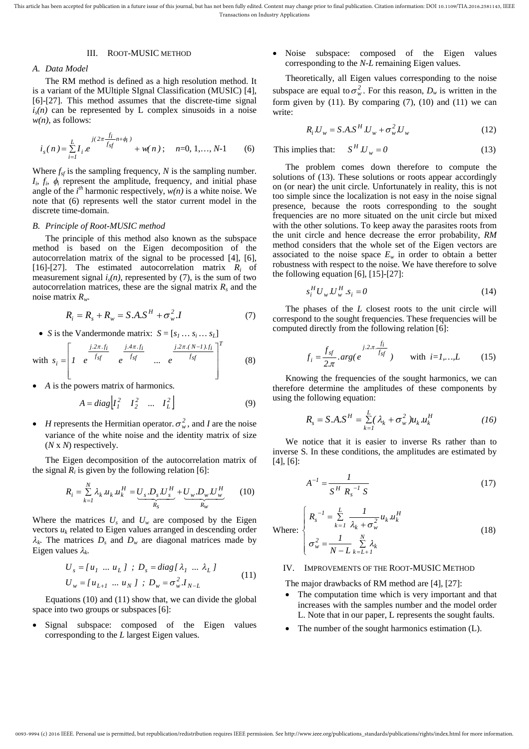## III. ROOT-MUSIC METHOD

## *A. Data Model*

The RM method is defined as a high resolution method. It is a variant of the MUltiple SIgnal Classification (MUSIC) [4], [6]-[27]. This method assumes that the discrete-time signal  $i_s(n)$  can be represented by L complex sinusoids in a noise *w(n),* as follows:

$$
i_{s}(n) = \sum_{i=1}^{L} I_{i} e^{\int_{i=1}^{j(2\pi} \frac{f_{i}}{f_{sf}} n + \phi_{i})} + w(n); \quad n=0, 1, ..., N-1
$$
 (6)

Where  $f_{sf}$  is the sampling frequency,  $N$  is the sampling number.  $I_i$ ,  $f_i$ ,  $\phi_i$  represent the amplitude, frequency, and initial phase angle of the  $i<sup>th</sup>$  harmonic respectively,  $w(n)$  is a white noise. We note that (6) represents well the stator current model in the discrete time-domain.

## *B. Principle of Root-MUSIC method*

The principle of this method also known as the subspace method is based on the Eigen decomposition of the autocorrelation matrix of the signal to be processed [4], [6], [16]-[27]. The estimated autocorrelation matrix  $R_i$  of measurement signal  $i<sub>s</sub>(n)$ , represented by (7), is the sum of two autocorrelation matrices, these are the signal matrix  $R_s$  and the noise matrix *Rw*.

$$
R_i = R_s + R_w = S.A.S^H + \sigma_w^2 I \tag{7}
$$

• *S* is the Vandermonde matrix:  $S = [s_1 \dots s_i \dots s_L]$ 

with 
$$
s_i = \begin{bmatrix} \frac{j.2\pi.f_i}{fsf} & \frac{j.4\pi.f_i}{fsf} & \frac{j.2\pi.(N-1).f_i}{fsf} \\ 1 & e^{-fsf} & e^{-fsf} & \dots & e^{-fsf} \end{bmatrix}^T
$$
 (8)

*A* is the powers matrix of harmonics.

$$
A = diag\begin{bmatrix} I_1^2 & I_2^2 & \dots & I_L^2 \end{bmatrix} \tag{9}
$$

• *H* represents the Hermitian operator.  $\sigma_w^2$ , and *I* are the noise variance of the white noise and the identity matrix of size (*N* x *N*) respectively.

The Eigen decomposition of the autocorrelation matrix of the signal  $R_i$  is given by the following relation [6]:

$$
R_i = \sum_{k=1}^{N} \lambda_k u_k u_k^H = U_s \cdot D_s U_s^H + U_w \cdot D_w U_w^H \qquad (10)
$$

Where the matrices  $U_s$  and  $U_w$  are composed by the Eigen vectors  $u_k$  related to Eigen values arranged in descending order  $\lambda_k$ . The matrices  $D_s$  and  $D_w$  are diagonal matrices made by Eigen values  $\lambda_k$ .

$$
U_{s} = [u_{1} ... u_{L}] ; D_{s} = diag[\lambda_{1} ... \lambda_{L}]
$$
  
\n
$$
U_{w} = [u_{L+1} ... u_{N}] ; D_{w} = \sigma_{w}^{2} . I_{N-L}
$$
\n(11)

Equations (10) and (11) show that, we can divide the global space into two groups or subspaces [6]:

 Signal subspace: composed of the Eigen values corresponding to the *L* largest Eigen values.

 Noise subspace: composed of the Eigen values corresponding to the *N-L* remaining Eigen values.

Theoretically, all Eigen values corresponding to the noise subspace are equal to  $\sigma_w^2$ . For this reason,  $D_w$  is written in the form given by  $(11)$ . By comparing  $(7)$ ,  $(10)$  and  $(11)$  we can write:

$$
R_i U_w = S.A.S^H.U_w + \sigma_w^2 U_w
$$
 (12)

This implies that:  $S^H \cdot U_w = 0$ (13)

The problem comes down therefore to compute the solutions of (13). These solutions or roots appear accordingly on (or near) the unit circle. Unfortunately in reality, this is not too simple since the localization is not easy in the noise signal presence, because the roots corresponding to the sought frequencies are no more situated on the unit circle but mixed with the other solutions. To keep away the parasites roots from the unit circle and hence decrease the error probability, *RM* method considers that the whole set of the Eigen vectors are associated to the noise space  $E_w$  in order to obtain a better robustness with respect to the noise. We have therefore to solve the following equation [6], [15]-[27]:

$$
s_i^H U_w U_w^H . s_i = 0 \tag{14}
$$

The phases of the *L* closest roots to the unit circle will correspond to the sought frequencies. These frequencies will be computed directly from the following relation [6]:

$$
f_i = \frac{f_{sf}}{2\pi} \cdot \arg(e^{j.2\pi \cdot \frac{f_i}{f_{sf}}}) \quad \text{with } i = 1,...,L \quad (15)
$$

Knowing the frequencies of the sought harmonics, we can therefore determine the amplitudes of these components by using the following equation:

$$
R_{s} = S.A.S^{H} = \sum_{k=1}^{L} (\lambda_{k} + \sigma_{w}^{2}) u_{k}.u_{k}^{H}
$$
 (16)

We notice that it is easier to inverse Rs rather than to inverse S. In these conditions, the amplitudes are estimated by [4], [6]:

$$
A^{-1} = \frac{1}{S^H R_s^{-1} S}
$$
 (17)

Where: 
$$
\begin{cases} R_s^{-1} = \sum_{k=1}^{L} \frac{1}{\lambda_k + \sigma_w^2} u_k u_k^H \\ \sigma_w^2 = \frac{1}{N - L} \sum_{k=L+1}^{N} \lambda_k \end{cases}
$$
 (18)

# IV. IMPROVEMENTS OF THE ROOT-MUSIC METHOD

The major drawbacks of RM method are [4], [27]:

- The computation time which is very important and that increases with the samples number and the model order L. Note that in our paper, L represents the sought faults.
- The number of the sought harmonics estimation (L).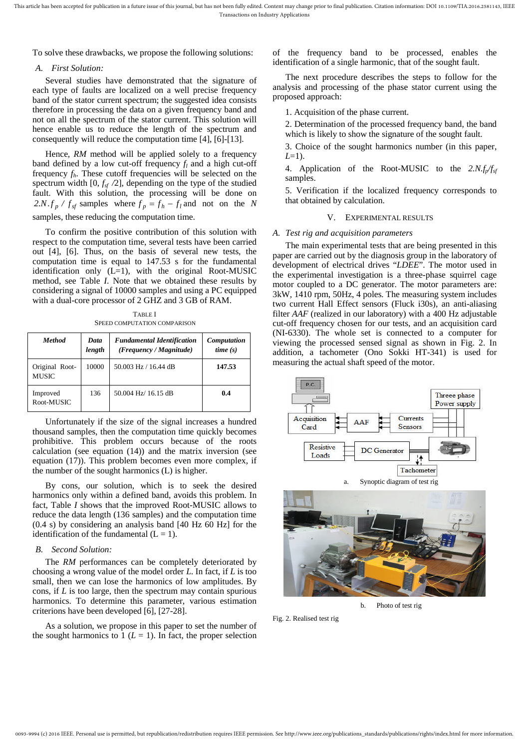To solve these drawbacks, we propose the following solutions:

# *A. First Solution:*

Several studies have demonstrated that the signature of each type of faults are localized on a well precise frequency band of the stator current spectrum; the suggested idea consists therefore in processing the data on a given frequency band and not on all the spectrum of the stator current. This solution will hence enable us to reduce the length of the spectrum and consequently will reduce the computation time [4], [6]-[13].

Hence, *RM* method will be applied solely to a frequency band defined by a low cut-off frequency  $f_l$  and a high cut-off frequency  $f_h$ . These cutoff frequencies will be selected on the spectrum width  $[0, f<sub>sf</sub>/2]$ , depending on the type of the studied fault. With this solution, the processing will be done on 2.*N*.*f*<sub>*p*</sub> / *f*<sub>*sf*</sub> samples where  $f_p = f_h - f_l$  and not on the *N* samples, these reducing the computation time.

To confirm the positive contribution of this solution with respect to the computation time, several tests have been carried out [4], [6]. Thus, on the basis of several new tests, the computation time is equal to 147.53 s for the fundamental identification only  $(L=1)$ , with the original Root-MUSIC method, see Table *I*. Note that we obtained these results by considering a signal of 10000 samples and using a PC equipped with a dual-core processor of 2 GHZ and 3 GB of RAM.

TABLE I SPEED COMPUTATION COMPARISON

| <b>Method</b>                  | Data<br>length | <b>Fundamental Identification</b><br>(Frequency / Magnitude) | Computation<br>time(s) |
|--------------------------------|----------------|--------------------------------------------------------------|------------------------|
| Original Root-<br><b>MUSIC</b> | 10000          | 50.003 Hz / 16.44 dB                                         | 147.53                 |
| Improved<br>Root-MUSIC         | 136            | 50.004 Hz/16.15 dB                                           | 0.4                    |

Unfortunately if the size of the signal increases a hundred thousand samples, then the computation time quickly becomes prohibitive. This problem occurs because of the roots calculation (see equation (14)) and the matrix inversion (see equation (17)). This problem becomes even more complex, if the number of the sought harmonics (L) is higher.

By cons, our solution, which is to seek the desired harmonics only within a defined band, avoids this problem. In fact, Table *I* shows that the improved Root-MUSIC allows to reduce the data length (136 samples) and the computation time (0.4 s) by considering an analysis band [40 Hz 60 Hz] for the identification of the fundamental  $(L = 1)$ .

# *B. Second Solution:*

The *RM* performances can be completely deteriorated by choosing a wrong value of the model order *L*. In fact, if *L* is too small, then we can lose the harmonics of low amplitudes. By cons, if *L* is too large, then the spectrum may contain spurious harmonics. To determine this parameter, various estimation criterions have been developed [6], [27-28].

As a solution, we propose in this paper to set the number of the sought harmonics to  $1 (L = 1)$ . In fact, the proper selection of the frequency band to be processed, enables the identification of a single harmonic, that of the sought fault.

The next procedure describes the steps to follow for the analysis and processing of the phase stator current using the proposed approach:

1. Acquisition of the phase current.

2. Determination of the processed frequency band, the band which is likely to show the signature of the sought fault.

3. Choice of the sought harmonics number (in this paper,  $I=1$ ).

4. Application of the Root-MUSIC to the *2.N.fp/fsf* samples.

5. Verification if the localized frequency corresponds to that obtained by calculation.

# V. EXPERIMENTAL RESULTS

# *A. Test rig and acquisition parameters*

The main experimental tests that are being presented in this paper are carried out by the diagnosis group in the laboratory of development of electrical drives "*LDEE*". The motor used in the experimental investigation is a three-phase squirrel cage motor coupled to a DC generator. The motor parameters are: 3kW, 1410 rpm, 50Hz, 4 poles. The measuring system includes two current Hall Effect sensors (Fluck i30s), an anti-aliasing filter *AAF* (realized in our laboratory) with a 400 Hz adjustable cut-off frequency chosen for our tests, and an acquisition card (NI-6330). The whole set is connected to a computer for viewing the processed sensed signal as shown in Fig. 2. In addition, a tachometer (Ono Sokki HT-341) is used for measuring the actual shaft speed of the motor.



b. Photo of test rig

Fig. 2. Realised test rig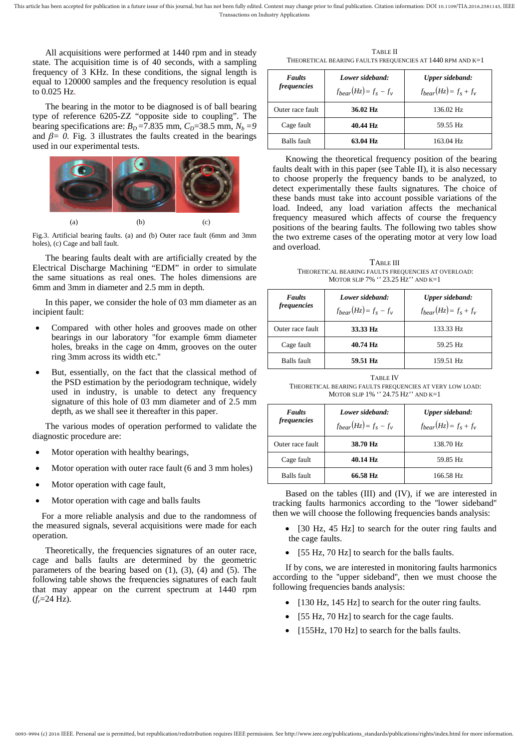All acquisitions were performed at 1440 rpm and in steady state. The acquisition time is of 40 seconds, with a sampling frequency of 3 KHz. In these conditions, the signal length is equal to 120000 samples and the frequency resolution is equal to 0.025 Hz.

The bearing in the motor to be diagnosed is of ball bearing type of reference 6205-ZZ "opposite side to coupling". The bearing specifications are:  $B_D = 7.835$  mm,  $C_D = 38.5$  mm,  $N_b = 9$ and  $\beta = 0$ . Fig. 3 illustrates the faults created in the bearings used in our experimental tests.



Fig.3. Artificial bearing faults. (a) and (b) Outer race fault (6mm and 3mm holes), (c) Cage and ball fault.

The bearing faults dealt with are artificially created by the Electrical Discharge Machining "EDM" in order to simulate the same situations as real ones. The holes dimensions are 6mm and 3mm in diameter and 2.5 mm in depth.

In this paper, we consider the hole of 03 mm diameter as an incipient fault:

- Compared with other holes and grooves made on other bearings in our laboratory ''for example 6mm diameter holes, breaks in the cage on 4mm, grooves on the outer ring 3mm across its width etc.''
- But, essentially, on the fact that the classical method of the PSD estimation by the periodogram technique, widely used in industry, is unable to detect any frequency signature of this hole of 03 mm diameter and of 2.5 mm depth, as we shall see it thereafter in this paper.

The various modes of operation performed to validate the diagnostic procedure are:

- Motor operation with healthy bearings,
- Motor operation with outer race fault (6 and 3 mm holes)
- Motor operation with cage fault,
- Motor operation with cage and balls faults

For a more reliable analysis and due to the randomness of the measured signals, several acquisitions were made for each operation.

Theoretically, the frequencies signatures of an outer race, cage and balls faults are determined by the geometric parameters of the bearing based on (1), (3), (4) and (5). The following table shows the frequencies signatures of each fault that may appear on the current spectrum at 1440 rpm  $(f<sub>r</sub>=24 Hz).$ 

TABLE II THEORETICAL BEARING FAULTS FREQUENCIES AT 1440 RPM AND K=1

| <b>Faults</b><br>frequencies | Lower sideband:<br>$f_{\text{hear}}(Hz) = f_s - f_v$ | Upper sideband:<br>$f_{\text{hear}}(Hz) = f_s + f_v$ |
|------------------------------|------------------------------------------------------|------------------------------------------------------|
| Outer race fault             | 36.02 Hz                                             | 136.02 Hz                                            |
| Cage fault                   | 40.44 Hz                                             | 59.55 Hz                                             |
| <b>Balls</b> fault           | 63.04 Hz                                             | 163.04 Hz                                            |

Knowing the theoretical frequency position of the bearing faults dealt with in this paper (see Table II), it is also necessary to choose properly the frequency bands to be analyzed, to detect experimentally these faults signatures. The choice of these bands must take into account possible variations of the load. Indeed, any load variation affects the mechanical frequency measured which affects of course the frequency positions of the bearing faults. The following two tables show the two extreme cases of the operating motor at very low load and overload.

TABLE III THEORETICAL BEARING FAULTS FREQUENCIES AT OVERLOAD: MOTOR SLIP 7% '' 23.25 HZ'' AND K=1

| <b>Faults</b><br>frequencies | Lower sideband:<br>$f_{\text{hear}}(Hz) = f_s - f_v$ | Upper sideband:<br>$f_{\text{hear}}(Hz) = f_s + f_v$ |
|------------------------------|------------------------------------------------------|------------------------------------------------------|
| Outer race fault             | 33.33 Hz                                             | 133.33 Hz                                            |
| Cage fault                   | 40.74 Hz                                             | 59.25 Hz                                             |
| <b>Balls</b> fault           | 59.51 Hz                                             | 159.51 Hz                                            |

TABLE IV THEORETICAL BEARING FAULTS FREQUENCIES AT VERY LOW LOAD: MOTOR SLIP 1% '' 24.75 HZ'' AND K=1

| <b>Faults</b><br>frequencies | Lower sideband:<br>$f_{\text{hear}}(Hz) = f_s - f_v$ | Upper sideband:<br>$f_{\text{hear}}(Hz) = f_s + f_v$ |
|------------------------------|------------------------------------------------------|------------------------------------------------------|
| Outer race fault             | 38.70 Hz                                             | 138.70 Hz                                            |
| Cage fault                   | 40.14 Hz                                             | 59.85 Hz                                             |
| <b>Balls</b> fault           | 66.58 Hz                                             | 166.58 Hz                                            |

Based on the tables (III) and (IV), if we are interested in tracking faults harmonics according to the ''lower sideband'' then we will choose the following frequencies bands analysis:

- [30 Hz, 45 Hz] to search for the outer ring faults and the cage faults.
- [55 Hz, 70 Hz] to search for the balls faults.

If by cons, we are interested in monitoring faults harmonics according to the ''upper sideband'', then we must choose the following frequencies bands analysis:

- $\bullet$  [130 Hz, 145 Hz] to search for the outer ring faults.
- [55 Hz, 70 Hz] to search for the cage faults.
- [155Hz, 170 Hz] to search for the balls faults.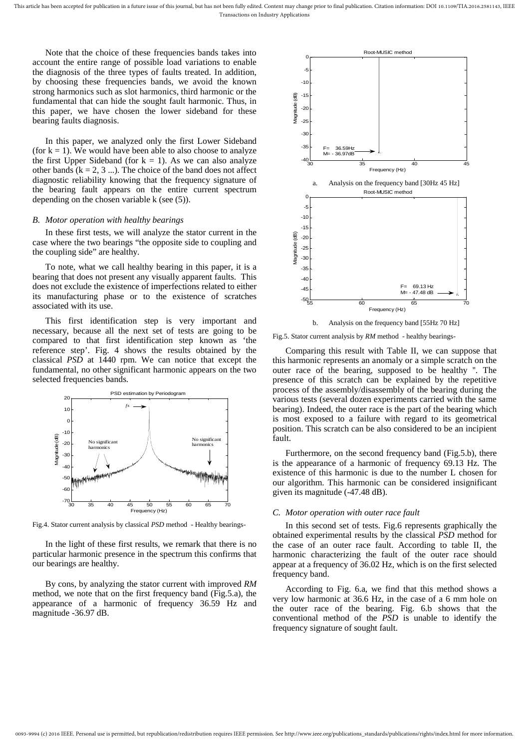Note that the choice of these frequencies bands takes into account the entire range of possible load variations to enable the diagnosis of the three types of faults treated. In addition, by choosing these frequencies bands, we avoid the known strong harmonics such as slot harmonics, third harmonic or the fundamental that can hide the sought fault harmonic. Thus, in this paper, we have chosen the lower sideband for these bearing faults diagnosis.

In this paper, we analyzed only the first Lower Sideband (for  $k = 1$ ). We would have been able to also choose to analyze the first Upper Sideband (for  $k = 1$ ). As we can also analyze other bands ( $k = 2, 3, \ldots$ ). The choice of the band does not affect diagnostic reliability knowing that the frequency signature of the bearing fault appears on the entire current spectrum depending on the chosen variable k (see (5)).

# *B. Motor operation with healthy bearings*

In these first tests, we will analyze the stator current in the case where the two bearings "the opposite side to coupling and the coupling side" are healthy.

To note, what we call healthy bearing in this paper, it is a bearing that does not present any visually apparent faults. This does not exclude the existence of imperfections related to either its manufacturing phase or to the existence of scratches associated with its use.

This first identification step is very important and necessary, because all the next set of tests are going to be compared to that first identification step known as 'the reference step'. Fig. 4 shows the results obtained by the classical *PSD* at 1440 rpm. We can notice that except the fundamental, no other significant harmonic appears on the two selected frequencies bands.



Fig.4. Stator current analysis by classical *PSD* method - Healthy bearings-

In the light of these first results, we remark that there is no particular harmonic presence in the spectrum this confirms that our bearings are healthy.

By cons, by analyzing the stator current with improved *RM* method, we note that on the first frequency band (Fig.5.a), the appearance of a harmonic of frequency 36.59 Hz and magnitude -36.97 dB.



b. Analysis on the frequency band [55Hz 70 Hz]

Fig.5. Stator current analysis by *RM* method - healthy bearings-

Comparing this result with Table II, we can suppose that this harmonic represents an anomaly or a simple scratch on the outer race of the bearing, supposed to be healthy ''. The presence of this scratch can be explained by the repetitive process of the assembly/disassembly of the bearing during the various tests (several dozen experiments carried with the same bearing). Indeed, the outer race is the part of the bearing which is most exposed to a failure with regard to its geometrical position. This scratch can be also considered to be an incipient fault.

Furthermore, on the second frequency band (Fig.5.b), there is the appearance of a harmonic of frequency 69.13 Hz. The existence of this harmonic is due to the number L chosen for our algorithm. This harmonic can be considered insignificant given its magnitude (-47.48 dB).

#### *C. Motor operation with outer race fault*

In this second set of tests. Fig.6 represents graphically the obtained experimental results by the classical *PSD* method for the case of an outer race fault. According to table II, the harmonic characterizing the fault of the outer race should appear at a frequency of 36.02 Hz, which is on the first selected frequency band.

According to Fig. 6.a, we find that this method shows a very low harmonic at 36.6 Hz, in the case of a 6 mm hole on the outer race of the bearing. Fig. 6.b shows that the conventional method of the *PSD* is unable to identify the frequency signature of sought fault.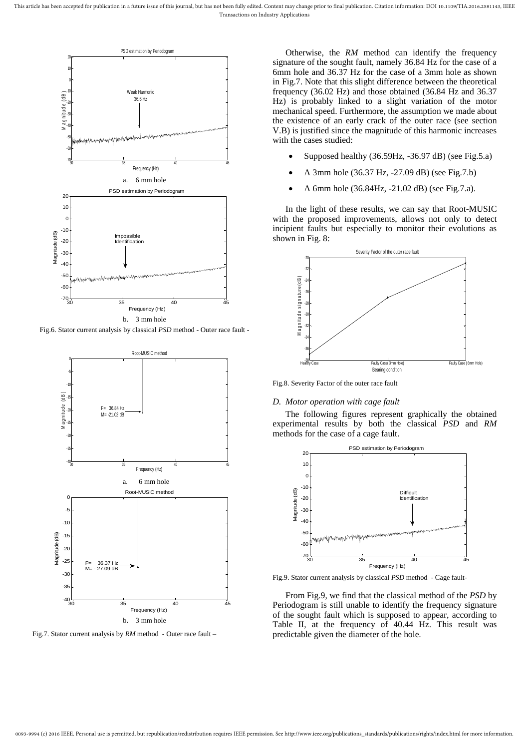

Fig.6. Stator current analysis by classical *PSD* method - Outer race fault -



Fig.7. Stator current analysis by *RM* method - Outer race fault –

Otherwise, the *RM* method can identify the frequency signature of the sought fault, namely 36.84 Hz for the case of a 6mm hole and 36.37 Hz for the case of a 3mm hole as shown in Fig.7. Note that this slight difference between the theoretical frequency (36.02 Hz) and those obtained (36.84 Hz and 36.37 Hz) is probably linked to a slight variation of the motor mechanical speed. Furthermore, the assumption we made about the existence of an early crack of the outer race (see section V.B) is justified since the magnitude of this harmonic increases with the cases studied:

- Supposed healthy (36.59Hz, -36.97 dB) (see Fig.5.a)
- A 3mm hole (36.37 Hz, -27.09 dB) (see Fig.7.b)
- A 6mm hole (36.84Hz, -21.02 dB) (see Fig.7.a).

In the light of these results, we can say that Root-MUSIC with the proposed improvements, allows not only to detect incipient faults but especially to monitor their evolutions as shown in Fig. 8:



Fig.8. Severity Factor of the outer race fault

## *D. Motor operation with cage fault*

The following figures represent graphically the obtained experimental results by both the classical *PSD* and *RM* methods for the case of a cage fault.



Fig.9. Stator current analysis by classical *PSD* method - Cage fault-

From Fig.9, we find that the classical method of the *PSD* by Periodogram is still unable to identify the frequency signature of the sought fault which is supposed to appear, according to Table II, at the frequency of 40.44 Hz. This result was predictable given the diameter of the hole.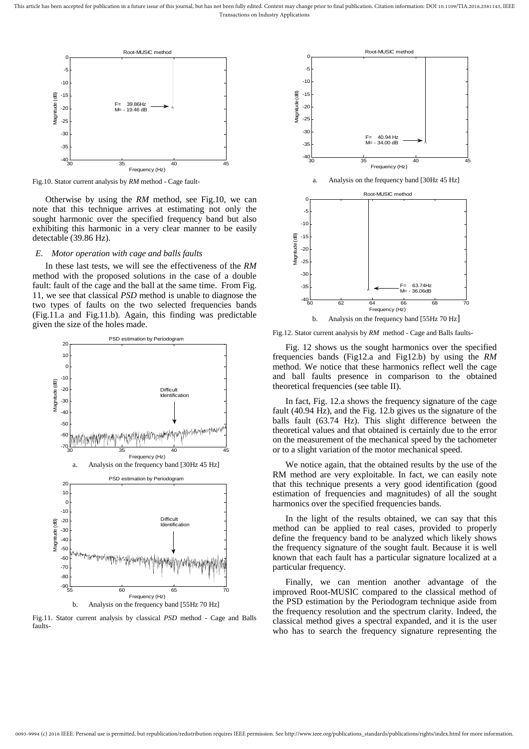

Fig.10. Stator current analysis by *RM* method - Cage fault-

Otherwise by using the *RM* method, see Fig.10, we can note that this technique arrives at estimating not only the sought harmonic over the specified frequency band but also exhibiting this harmonic in a very clear manner to be easily detectable (39.86 Hz).

#### *E. Motor operation with cage and balls faults*

In these last tests, we will see the effectiveness of the *RM* method with the proposed solutions in the case of a double fault: fault of the cage and the ball at the same time. From Fig. 11, we see that classical *PSD* method is unable to diagnose the two types of faults on the two selected frequencies bands (Fig.11.a and Fig.11.b). Again, this finding was predictable given the size of the holes made.



Fig.11. Stator current analysis by classical *PSD* method - Cage and Balls faults-

![](_page_7_Figure_8.jpeg)

Fig.12. Stator current analysis by *RM* method - Cage and Balls faults-

Fig. 12 shows us the sought harmonics over the specified frequencies bands (Fig12.a and Fig12.b) by using the *RM* method. We notice that these harmonics reflect well the cage and ball faults presence in comparison to the obtained theoretical frequencies (see table II).

In fact, Fig. 12.a shows the frequency signature of the cage fault (40.94 Hz), and the Fig. 12.b gives us the signature of the balls fault (63.74 Hz). This slight difference between the theoretical values and that obtained is certainly due to the error on the measurement of the mechanical speed by the tachometer or to a slight variation of the motor mechanical speed.

We notice again, that the obtained results by the use of the RM method are very exploitable. In fact, we can easily note that this technique presents a very good identification (good estimation of frequencies and magnitudes) of all the sought harmonics over the specified frequencies bands.

In the light of the results obtained, we can say that this method can be applied to real cases, provided to properly define the frequency band to be analyzed which likely shows the frequency signature of the sought fault. Because it is well known that each fault has a particular signature localized at a particular frequency.

Finally, we can mention another advantage of the improved Root-MUSIC compared to the classical method of the PSD estimation by the Periodogram technique aside from the frequency resolution and the spectrum clarity. Indeed, the classical method gives a spectral expanded, and it is the user who has to search the frequency signature representing the